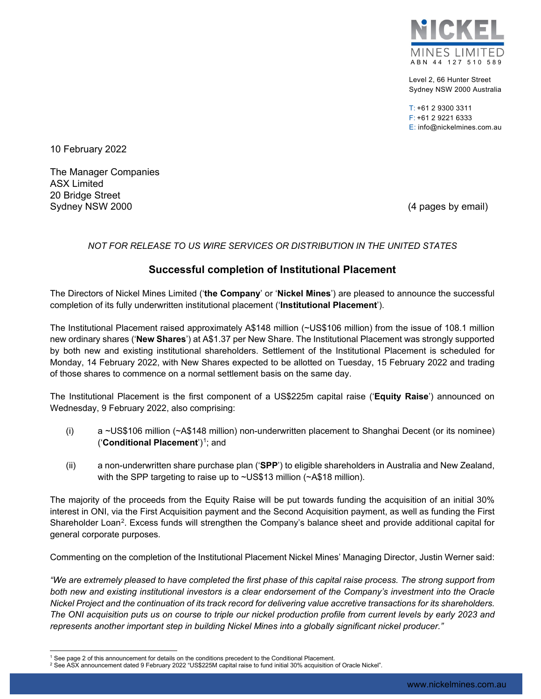

Level 2, 66 Hunter Street Sydney NSW 2000 Australia

 $T: +61$  2 9300 3311 F: +61 2 9221 6333 E: info@nickelmines.com.au

10 February 2022

The Manager Companies ASX Limited 20 Bridge Street Sydney NSW 2000 (4 pages by email)

### *NOT FOR RELEASE TO US WIRE SERVICES OR DISTRIBUTION IN THE UNITED STATES*

## **Successful completion of Institutional Placement**

The Directors of Nickel Mines Limited ('**the Company**' or '**Nickel Mines**') are pleased to announce the successful completion of its fully underwritten institutional placement ('**Institutional Placement**').

The Institutional Placement raised approximately A\$148 million (~US\$106 million) from the issue of 108.1 million new ordinary shares ('**New Shares**') at A\$1.37 per New Share. The Institutional Placement was strongly supported by both new and existing institutional shareholders. Settlement of the Institutional Placement is scheduled for Monday, 14 February 2022, with New Shares expected to be allotted on Tuesday, 15 February 2022 and trading of those shares to commence on a normal settlement basis on the same day.

The Institutional Placement is the first component of a US\$225m capital raise ('**Equity Raise**') announced on Wednesday, 9 February 2022, also comprising:

- (i) a ~US\$106 million (~A\$148 million) non-underwritten placement to Shanghai Decent (or its nominee) ('**Conditional Placement**')[1;](#page-0-0) and
- (ii) a non-underwritten share purchase plan ('**SPP**') to eligible shareholders in Australia and New Zealand, with the SPP targeting to raise up to ~US\$13 million (~A\$18 million).

The majority of the proceeds from the Equity Raise will be put towards funding the acquisition of an initial 30% interest in ONI, via the First Acquisition payment and the Second Acquisition payment, as well as funding the First Shareholder Loan<sup>2</sup>. Excess funds will strengthen the Company's balance sheet and provide additional capital for general corporate purposes.

Commenting on the completion of the Institutional Placement Nickel Mines' Managing Director, Justin Werner said:

*"We are extremely pleased to have completed the first phase of this capital raise process. The strong support from both new and existing institutional investors is a clear endorsement of the Company's investment into the Oracle Nickel Project and the continuation of its track record for delivering value accretive transactions for its shareholders. The ONI acquisition puts us on course to triple our nickel production profile from current levels by early 2023 and represents another important step in building Nickel Mines into a globally significant nickel producer."*

<span id="page-0-1"></span><span id="page-0-0"></span>

 $^1$  See page 2 of this announcement for details on the conditions precedent to the Conditional Placement.<br><sup>2</sup> See ASX announcement dated 9 February 2022 "US\$225M capital raise to fund initial 30% acquisition of Oracle Ni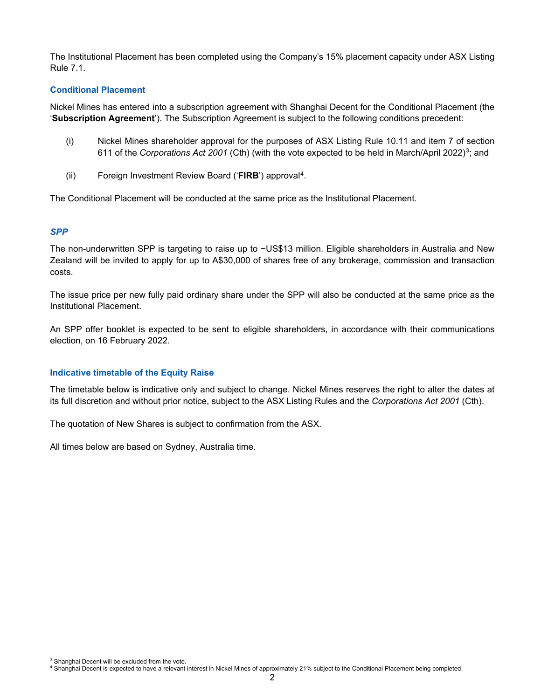The Institutional Placement has been completed using the Company's 15% placement capacity under ASX Listing Rule 7.1.

### **Conditional Placement**

Nickel Mines has entered into a subscription agreement with Shanghai Decent for the Conditional Placement (the '**Subscription Agreement**'). The Subscription Agreement is subject to the following conditions precedent:

- (i) Nickel Mines shareholder approval for the purposes of ASX Listing Rule 10.11 and item 7 of section 611 of the *Corporations Act 2001* (Cth) (with the vote expected to be held in March/April 2022)[3](#page-1-0); and
- (ii) Foreign Investment Review Board ('**FIRB**') approval[4.](#page-1-1)

The Conditional Placement will be conducted at the same price as the Institutional Placement.

#### *SPP*

The non-underwritten SPP is targeting to raise up to ~US\$13 million. Eligible shareholders in Australia and New Zealand will be invited to apply for up to A\$30,000 of shares free of any brokerage, commission and transaction costs.

The issue price per new fully paid ordinary share under the SPP will also be conducted at the same price as the Institutional Placement.

An SPP offer booklet is expected to be sent to eligible shareholders, in accordance with their communications election, on 16 February 2022.

#### **Indicative timetable of the Equity Raise**

The timetable below is indicative only and subject to change. Nickel Mines reserves the right to alter the dates at its full discretion and without prior notice, subject to the ASX Listing Rules and the *Corporations Act 2001* (Cth).

The quotation of New Shares is subject to confirmation from the ASX.

All times below are based on Sydney, Australia time.

<span id="page-1-1"></span><span id="page-1-0"></span> $^3$  Shanghai Decent will be excluded from the vote.<br><sup>4</sup> Shanghai Decent is expected to have a relevant interest in Nickel Mines of approximately 21% subject to the Conditional Placement being completed.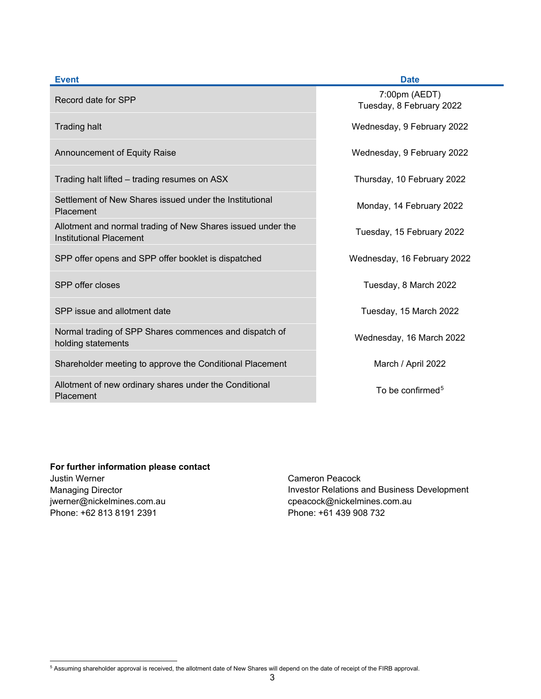| <b>Event</b>                                                                           | <b>Date</b>                               |
|----------------------------------------------------------------------------------------|-------------------------------------------|
| Record date for SPP                                                                    | 7:00pm (AEDT)<br>Tuesday, 8 February 2022 |
| <b>Trading halt</b>                                                                    | Wednesday, 9 February 2022                |
| <b>Announcement of Equity Raise</b>                                                    | Wednesday, 9 February 2022                |
| Trading halt lifted – trading resumes on ASX                                           | Thursday, 10 February 2022                |
| Settlement of New Shares issued under the Institutional<br>Placement                   | Monday, 14 February 2022                  |
| Allotment and normal trading of New Shares issued under the<br>Institutional Placement | Tuesday, 15 February 2022                 |
| SPP offer opens and SPP offer booklet is dispatched                                    | Wednesday, 16 February 2022               |
| SPP offer closes                                                                       | Tuesday, 8 March 2022                     |
| SPP issue and allotment date                                                           | Tuesday, 15 March 2022                    |
| Normal trading of SPP Shares commences and dispatch of<br>holding statements           | Wednesday, 16 March 2022                  |
| Shareholder meeting to approve the Conditional Placement                               | March / April 2022                        |
| Allotment of new ordinary shares under the Conditional<br>Placement                    | To be confirmed <sup>5</sup>              |

# **For further information please contact** Justin Werner

Managing Director jwerner@nickelmines.com.au Phone: +62 813 8191 2391

Cameron Peacock Investor Relations and Business Development cpeacock@nickelmines.com.au Phone: +61 439 908 732

<span id="page-2-0"></span><sup>5</sup> Assuming shareholder approval is received, the allotment date of New Shares will depend on the date of receipt of the FIRB approval.